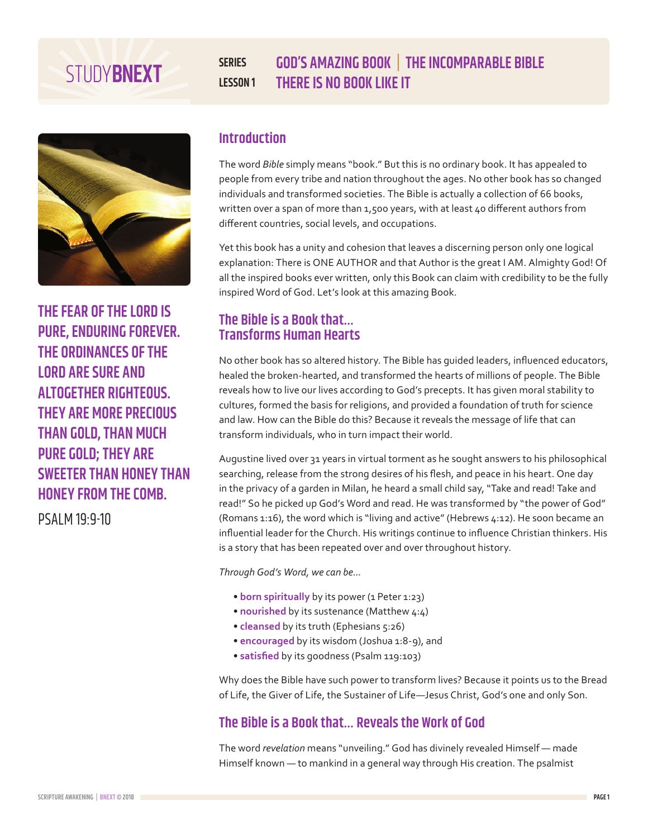# **THERE IS NO BOOK LIKE IT**

**THE FEAR OF THE LORD IS PURE, ENDURING FOREVER. THE ORDINANCES OF THE LORD ARE SURE AND ALTOGETHER RIGHTEOUS. THEY ARE MORE PRECIOUS THAN GOLD, THAN MUCH PURE GOLD; THEY ARE SWEETER THAN HONEY THAN HONEY FROM THE COMB.** 

PSALM 19:9-10

## **Introduction**

**SERIES**

**LESSON 1**

The word *Bible* simply means "book." But this is no ordinary book. It has appealed to people from every tribe and nation throughout the ages. No other book has so changed individuals and transformed societies. The Bible is actually a collection of 66 books, written over a span of more than 1,500 years, with at least 40 different authors from different countries, social levels, and occupations.

**GOD'S AMAZING BOOK | THE INCOMPARABLE BIBLE**

Yet this book has a unity and cohesion that leaves a discerning person only one logical explanation: There is ONE AUTHOR and that Author is the great I AM. Almighty God! Of all the inspired books ever written, only this Book can claim with credibility to be the fully inspired Word of God. Let's look at this amazing Book.

## **The Bible is a Book that… Transforms Human Hearts**

No other book has so altered history. The Bible has guided leaders, influenced educators, healed the broken-hearted, and transformed the hearts of millions of people. The Bible reveals how to live our lives according to God's precepts. It has given moral stability to cultures, formed the basis for religions, and provided a foundation of truth for science and law. How can the Bible do this? Because it reveals the message of life that can transform individuals, who in turn impact their world.

Augustine lived over 31 years in virtual torment as he sought answers to his philosophical searching, release from the strong desires of his flesh, and peace in his heart. One day in the privacy of a garden in Milan, he heard a small child say, "Take and read! Take and read!" So he picked up God's Word and read. He was transformed by "the power of God" (Romans 1:16), the word which is "living and active" (Hebrews 4:12). He soon became an influential leader for the Church. His writings continue to influence Christian thinkers. His is a story that has been repeated over and over throughout history.

*Through God's Word, we can be...* 

- **born spiritually** by its power (1 Peter 1:23)
- **nourished** by its sustenance (Matthew 4:4)
- **cleansed** by its truth (Ephesians 5:26)
- **encouraged** by its wisdom (Joshua 1:8-9), and
- **satisfied** by its goodness (Psalm 119:103)

Why does the Bible have such power to transform lives? Because it points us to the Bread of Life, the Giver of Life, the Sustainer of Life—Jesus Christ, God's one and only Son.

# **The Bible is a Book that… Reveals the Work of God**

The word *revelation* means "unveiling." God has divinely revealed Himself — made Himself known — to mankind in a general way through His creation. The psalmist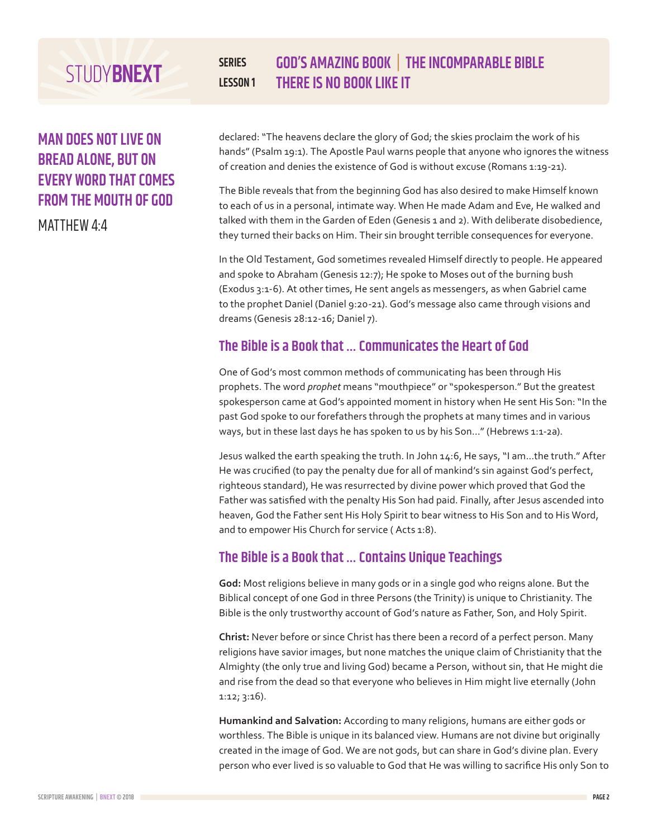# **MAN DOES NOT LIVE ON BREAD ALONE, BUT ON EVERY WORD THAT COMES FROM THE MOUTH OF GOD**

MATTHEW 4:4

### **SERIES LESSON 1 GOD'S AMAZING BOOK | THE INCOMPARABLE BIBLE THERE IS NO BOOK LIKE IT**

declared: "The heavens declare the glory of God; the skies proclaim the work of his hands" (Psalm 19:1). The Apostle Paul warns people that anyone who ignores the witness of creation and denies the existence of God is without excuse (Romans 1:19-21).

The Bible reveals that from the beginning God has also desired to make Himself known to each of us in a personal, intimate way. When He made Adam and Eve, He walked and talked with them in the Garden of Eden (Genesis 1 and 2). With deliberate disobedience, they turned their backs on Him. Their sin brought terrible consequences for everyone.

In the Old Testament, God sometimes revealed Himself directly to people. He appeared and spoke to Abraham (Genesis 12:7); He spoke to Moses out of the burning bush (Exodus 3:1-6). At other times, He sent angels as messengers, as when Gabriel came to the prophet Daniel (Daniel 9:20-21). God's message also came through visions and dreams (Genesis 28:12-16; Daniel 7).

# **The Bible is a Book that … Communicates the Heart of God**

One of God's most common methods of communicating has been through His prophets. The word *prophet* means "mouthpiece" or "spokesperson." But the greatest spokesperson came at God's appointed moment in history when He sent His Son: "In the past God spoke to our forefathers through the prophets at many times and in various ways, but in these last days he has spoken to us by his Son..." (Hebrews 1:1-2a).

Jesus walked the earth speaking the truth. In John 14:6, He says, "I am...the truth." After He was crucified (to pay the penalty due for all of mankind's sin against God's perfect, righteous standard), He was resurrected by divine power which proved that God the Father was satisfied with the penalty His Son had paid. Finally, after Jesus ascended into heaven, God the Father sent His Holy Spirit to bear witness to His Son and to His Word, and to empower His Church for service (Acts 1:8).

# **The Bible is a Book that … Contains Unique Teachings**

**God:** Most religions believe in many gods or in a single god who reigns alone. But the Biblical concept of one God in three Persons (the Trinity) is unique to Christianity. The Bible is the only trustworthy account of God's nature as Father, Son, and Holy Spirit.

**Christ:** Never before or since Christ has there been a record of a perfect person. Many religions have savior images, but none matches the unique claim of Christianity that the Almighty (the only true and living God) became a Person, without sin, that He might die and rise from the dead so that everyone who believes in Him might live eternally (John 1:12; 3:16).

**Humankind and Salvation:** According to many religions, humans are either gods or worthless. The Bible is unique in its balanced view. Humans are not divine but originally created in the image of God. We are not gods, but can share in God's divine plan. Every person who ever lived is so valuable to God that He was willing to sacrifice His only Son to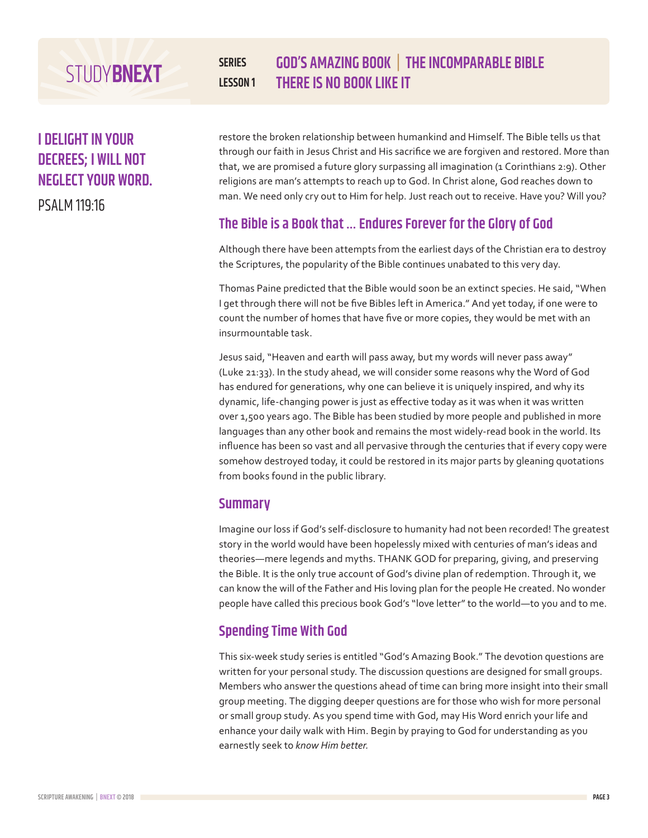# **I DELIGHT IN YOUR DECREES; I WILL NOT NEGLECT YOUR WORD.**

PSALM 119:16

### **SERIES LESSON 1 GOD'S AMAZING BOOK | THE INCOMPARABLE BIBLE THERE IS NO BOOK LIKE IT**

restore the broken relationship between humankind and Himself. The Bible tells us that through our faith in Jesus Christ and His sacrifice we are forgiven and restored. More than that, we are promised a future glory surpassing all imagination (1 Corinthians 2:9). Other religions are man's attempts to reach up to God. In Christ alone, God reaches down to man. We need only cry out to Him for help. Just reach out to receive. Have you? Will you?

# **The Bible is a Book that … Endures Forever for the Glory of God**

Although there have been attempts from the earliest days of the Christian era to destroy the Scriptures, the popularity of the Bible continues unabated to this very day.

Thomas Paine predicted that the Bible would soon be an extinct species. He said, "When I get through there will not be five Bibles left in America." And yet today, if one were to count the number of homes that have five or more copies, they would be met with an insurmountable task.

Jesus said, "Heaven and earth will pass away, but my words will never pass away" (Luke 21:33). In the study ahead, we will consider some reasons why the Word of God has endured for generations, why one can believe it is uniquely inspired, and why its dynamic, life-changing power is just as effective today as it was when it was written over 1,500 years ago. The Bible has been studied by more people and published in more languages than any other book and remains the most widely-read book in the world. Its influence has been so vast and all pervasive through the centuries that if every copy were somehow destroyed today, it could be restored in its major parts by gleaning quotations from books found in the public library.

## **Summary**

Imagine our loss if God's self-disclosure to humanity had not been recorded! The greatest story in the world would have been hopelessly mixed with centuries of man's ideas and theories—mere legends and myths. THANK GOD for preparing, giving, and preserving the Bible. It is the only true account of God's divine plan of redemption. Through it, we can know the will of the Father and His loving plan for the people He created. No wonder people have called this precious book God's "love letter" to the world—to you and to me.

# **Spending Time With God**

This six-week study series is entitled "God's Amazing Book." The devotion questions are written for your personal study. The discussion questions are designed for small groups. Members who answer the questions ahead of time can bring more insight into their small group meeting. The digging deeper questions are for those who wish for more personal or small group study. As you spend time with God, may His Word enrich your life and enhance your daily walk with Him. Begin by praying to God for understanding as you earnestly seek to *know Him better.*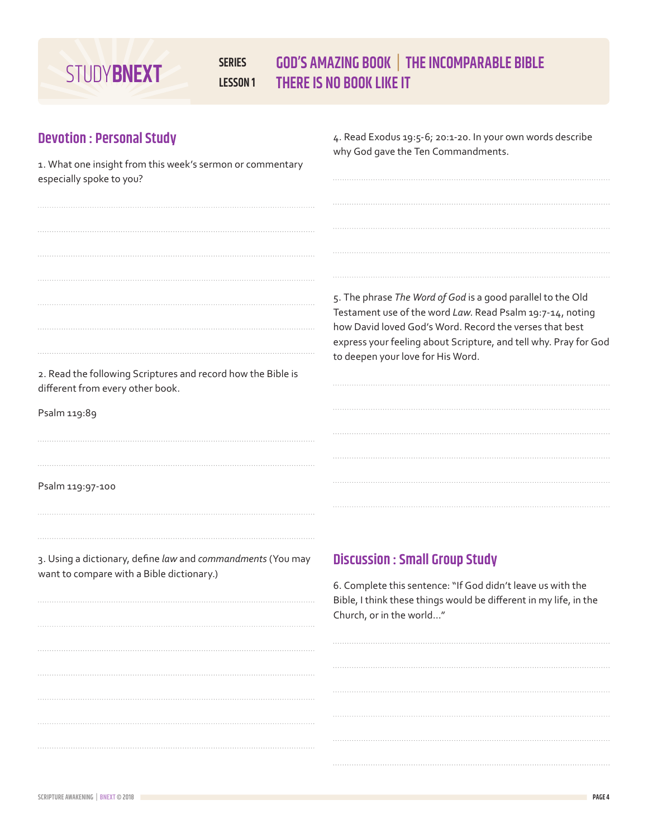### **SERIES LESSON 1 GOD'S AMAZING BOOK | THE INCOMPARABLE BIBLE THERE IS NO BOOK LIKE IT**

# **Devotion : Personal Study**

1. What one insight from this week's sermon or commentary

4. Read Exodus 19:5-6; 20:1-20. In your own words describe why God gave the Ten Commandments.

| especially spoke to you?                                                                                 |                                                                                                                                                                                                                                                                                              |
|----------------------------------------------------------------------------------------------------------|----------------------------------------------------------------------------------------------------------------------------------------------------------------------------------------------------------------------------------------------------------------------------------------------|
|                                                                                                          |                                                                                                                                                                                                                                                                                              |
|                                                                                                          |                                                                                                                                                                                                                                                                                              |
|                                                                                                          |                                                                                                                                                                                                                                                                                              |
|                                                                                                          |                                                                                                                                                                                                                                                                                              |
|                                                                                                          | 5. The phrase The Word of God is a good parallel to the Old<br>Testament use of the word Law. Read Psalm 19:7-14, noting<br>how David loved God's Word. Record the verses that best<br>express your feeling about Scripture, and tell why. Pray for God<br>to deepen your love for His Word. |
| 2. Read the following Scriptures and record how the Bible is<br>different from every other book.         |                                                                                                                                                                                                                                                                                              |
| Psalm 119:89                                                                                             |                                                                                                                                                                                                                                                                                              |
|                                                                                                          |                                                                                                                                                                                                                                                                                              |
|                                                                                                          |                                                                                                                                                                                                                                                                                              |
| Psalm 119:97-100                                                                                         |                                                                                                                                                                                                                                                                                              |
|                                                                                                          |                                                                                                                                                                                                                                                                                              |
|                                                                                                          |                                                                                                                                                                                                                                                                                              |
| 3. Using a dictionary, define law and commandments (You may<br>want to compare with a Bible dictionary.) | <b>Discussion : Small Group Study</b>                                                                                                                                                                                                                                                        |
|                                                                                                          | 6. Complete this sentence: "If God didn't leave us with the<br>Bible, I think these things would be different in my life, in the<br>Church, or in the world"                                                                                                                                 |
|                                                                                                          |                                                                                                                                                                                                                                                                                              |
|                                                                                                          |                                                                                                                                                                                                                                                                                              |
|                                                                                                          |                                                                                                                                                                                                                                                                                              |
|                                                                                                          |                                                                                                                                                                                                                                                                                              |
|                                                                                                          |                                                                                                                                                                                                                                                                                              |
|                                                                                                          |                                                                                                                                                                                                                                                                                              |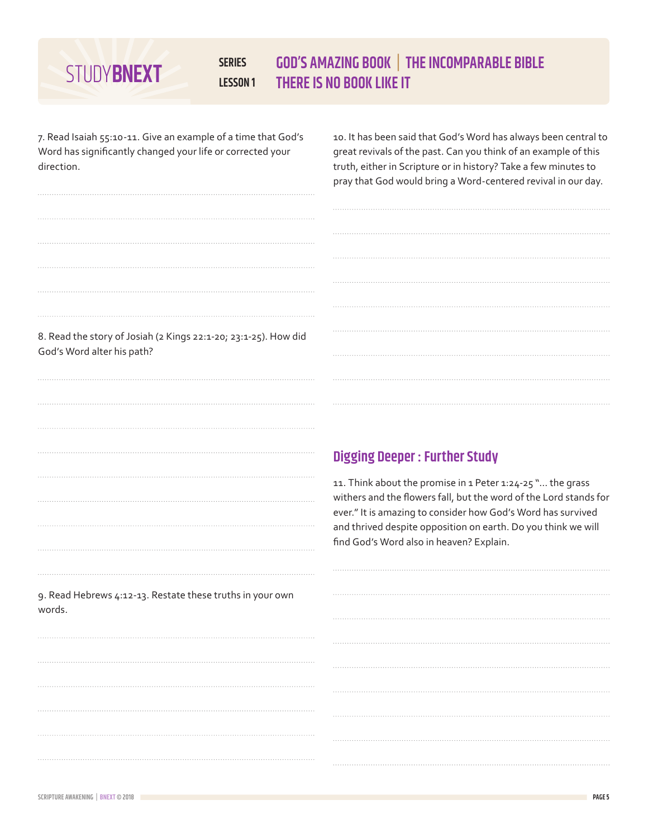### **SERIES LESSON 1 GOD'S AMAZING BOOK | THE INCOMPARABLE BIBLE THERE IS NO BOOK LIKE IT**

7. Read Isaiah 55:10-11. Give an example of a time that God's Word has significantly changed your life or corrected your direction.

10. It has been said that God's Word has always been central to great revivals of the past. Can you think of an example of this truth, either in Scripture or in history? Take a few minutes to pray that God would bring a Word-centered revival in our day.

| 8. Read the story of Josiah (2 Kings 22:1-20; 23:1-25). How did |
|-----------------------------------------------------------------|
| God's Word alter his path?                                      |

|                                                           | <b>Digging Deeper: Further Study</b>                                                                                                                                                                                                                                                                         |
|-----------------------------------------------------------|--------------------------------------------------------------------------------------------------------------------------------------------------------------------------------------------------------------------------------------------------------------------------------------------------------------|
|                                                           | 11. Think about the promise in 1 Peter 1:24-25 " the grass<br>withers and the flowers fall, but the word of the Lord stands for<br>ever." It is amazing to consider how God's Word has survived<br>and thrived despite opposition on earth. Do you think we will<br>find God's Word also in heaven? Explain. |
|                                                           |                                                                                                                                                                                                                                                                                                              |
| 9. Read Hebrews 4:12-13. Restate these truths in your own |                                                                                                                                                                                                                                                                                                              |
| words.                                                    |                                                                                                                                                                                                                                                                                                              |
|                                                           |                                                                                                                                                                                                                                                                                                              |
|                                                           |                                                                                                                                                                                                                                                                                                              |
|                                                           |                                                                                                                                                                                                                                                                                                              |
|                                                           |                                                                                                                                                                                                                                                                                                              |
|                                                           |                                                                                                                                                                                                                                                                                                              |
|                                                           |                                                                                                                                                                                                                                                                                                              |